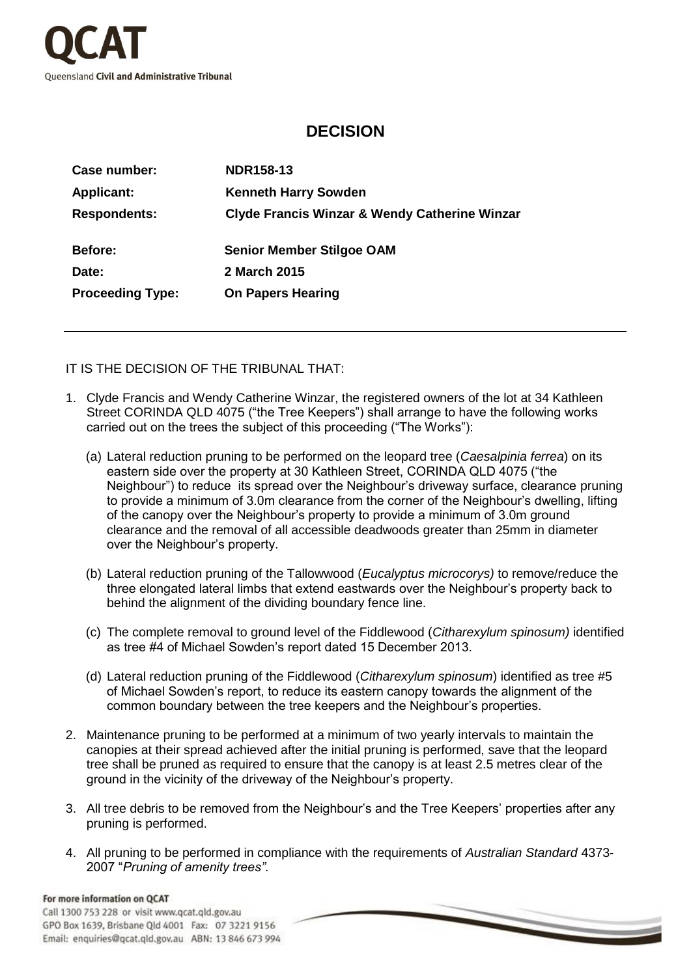

## **DECISION**

| Case number:            | <b>NDR158-13</b>                                         |
|-------------------------|----------------------------------------------------------|
| <b>Applicant:</b>       | <b>Kenneth Harry Sowden</b>                              |
| <b>Respondents:</b>     | <b>Clyde Francis Winzar &amp; Wendy Catherine Winzar</b> |
| <b>Before:</b>          | <b>Senior Member Stilgoe OAM</b>                         |
| Date:                   | 2 March 2015                                             |
| <b>Proceeding Type:</b> | <b>On Papers Hearing</b>                                 |

IT IS THE DECISION OF THE TRIBUNAL THAT:

- 1. Clyde Francis and Wendy Catherine Winzar, the registered owners of the lot at 34 Kathleen Street CORINDA QLD 4075 ("the Tree Keepers") shall arrange to have the following works carried out on the trees the subject of this proceeding ("The Works"):
	- (a) Lateral reduction pruning to be performed on the leopard tree (*Caesalpinia ferrea*) on its eastern side over the property at 30 Kathleen Street, CORINDA QLD 4075 ("the Neighbour") to reduce its spread over the Neighbour's driveway surface, clearance pruning to provide a minimum of 3.0m clearance from the corner of the Neighbour's dwelling, lifting of the canopy over the Neighbour's property to provide a minimum of 3.0m ground clearance and the removal of all accessible deadwoods greater than 25mm in diameter over the Neighbour's property.
	- (b) Lateral reduction pruning of the Tallowwood (*Eucalyptus microcorys)* to remove/reduce the three elongated lateral limbs that extend eastwards over the Neighbour's property back to behind the alignment of the dividing boundary fence line.
	- (c) The complete removal to ground level of the Fiddlewood (*Citharexylum spinosum)* identified as tree #4 of Michael Sowden's report dated 15 December 2013.
	- (d) Lateral reduction pruning of the Fiddlewood (*Citharexylum spinosum*) identified as tree #5 of Michael Sowden's report, to reduce its eastern canopy towards the alignment of the common boundary between the tree keepers and the Neighbour's properties.
- 2. Maintenance pruning to be performed at a minimum of two yearly intervals to maintain the canopies at their spread achieved after the initial pruning is performed, save that the leopard tree shall be pruned as required to ensure that the canopy is at least 2.5 metres clear of the ground in the vicinity of the driveway of the Neighbour's property.
- 3. All tree debris to be removed from the Neighbour's and the Tree Keepers' properties after any pruning is performed.
- 4. All pruning to be performed in compliance with the requirements of *Australian Standard* 4373- 2007 "*Pruning of amenity trees"*.

## For more information on OCAT

Call 1300 753 228 or visit www.qcat.qld.gov.au GPO Box 1639, Brisbane Qld 4001 Fax: 07 3221 9156 Email: enquiries@qcat.qld.gov.au ABN: 13 846 673 994